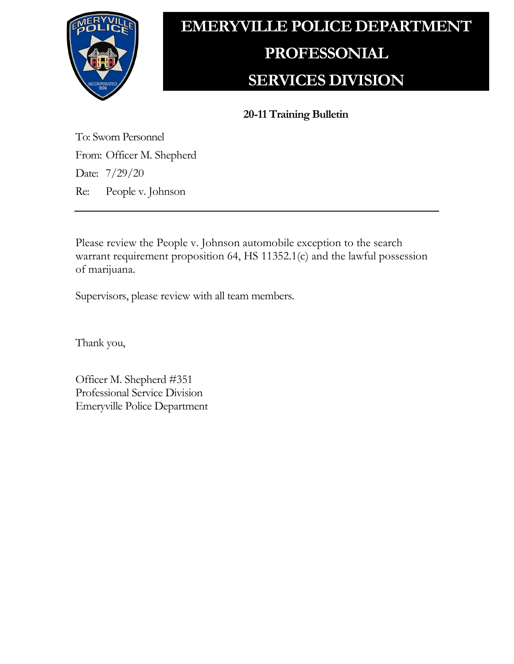

## **EMERYVILLE POLICE DEPARTMENT PROFESSONIAL SERVICES DIVISION**

**20-11 Training Bulletin**

To: Sworn Personnel From: Officer M. Shepherd Date: 7/29/20 Re: People v. Johnson

Please review the People v. Johnson automobile exception to the search warrant requirement proposition 64, HS 11352.1(c) and the lawful possession of marijuana.

Supervisors, please review with all team members.

Thank you,

Officer M. Shepherd #351 Professional Service Division Emeryville Police Department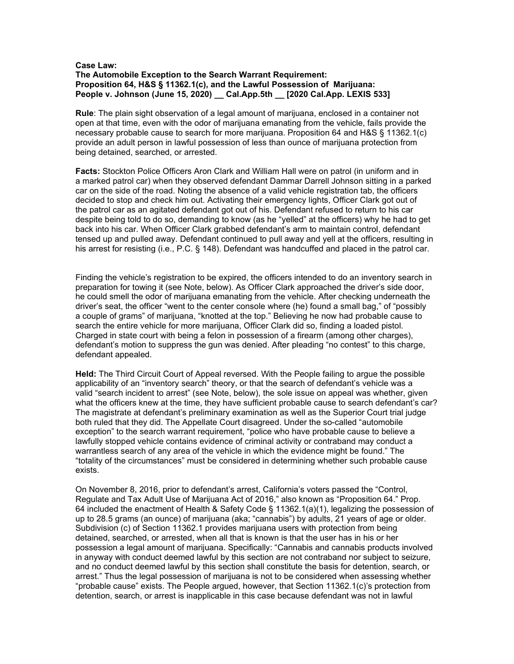## **Case Law: The Automobile Exception to the Search Warrant Requirement: Proposition 64, H&S § 11362.1(c), and the Lawful Possession of Marijuana: People v. Johnson (June 15, 2020) \_\_ Cal.App.5th \_\_ [2020 Cal.App. LEXIS 533]**

**Rule**: The plain sight observation of a legal amount of marijuana, enclosed in a container not open at that time, even with the odor of marijuana emanating from the vehicle, fails provide the necessary probable cause to search for more marijuana. Proposition 64 and H&S § 11362.1(c) provide an adult person in lawful possession of less than ounce of marijuana protection from being detained, searched, or arrested.

**Facts:** Stockton Police Officers Aron Clark and William Hall were on patrol (in uniform and in a marked patrol car) when they observed defendant Dammar Darrell Johnson sitting in a parked car on the side of the road. Noting the absence of a valid vehicle registration tab, the officers decided to stop and check him out. Activating their emergency lights, Officer Clark got out of the patrol car as an agitated defendant got out of his. Defendant refused to return to his car despite being told to do so, demanding to know (as he "yelled" at the officers) why he had to get back into his car. When Officer Clark grabbed defendant's arm to maintain control, defendant tensed up and pulled away. Defendant continued to pull away and yell at the officers, resulting in his arrest for resisting (i.e., P.C. § 148). Defendant was handcuffed and placed in the patrol car.

Finding the vehicle's registration to be expired, the officers intended to do an inventory search in preparation for towing it (see Note, below). As Officer Clark approached the driver's side door, he could smell the odor of marijuana emanating from the vehicle. After checking underneath the driver's seat, the officer "went to the center console where (he) found a small bag," of "possibly a couple of grams" of marijuana, "knotted at the top." Believing he now had probable cause to search the entire vehicle for more marijuana, Officer Clark did so, finding a loaded pistol. Charged in state court with being a felon in possession of a firearm (among other charges), defendant's motion to suppress the gun was denied. After pleading "no contest" to this charge, defendant appealed.

**Held:** The Third Circuit Court of Appeal reversed. With the People failing to argue the possible applicability of an "inventory search" theory, or that the search of defendant's vehicle was a valid "search incident to arrest" (see Note, below), the sole issue on appeal was whether, given what the officers knew at the time, they have sufficient probable cause to search defendant's car? The magistrate at defendant's preliminary examination as well as the Superior Court trial judge both ruled that they did. The Appellate Court disagreed. Under the so-called "automobile exception" to the search warrant requirement, "police who have probable cause to believe a lawfully stopped vehicle contains evidence of criminal activity or contraband may conduct a warrantless search of any area of the vehicle in which the evidence might be found." The "totality of the circumstances" must be considered in determining whether such probable cause exists.

On November 8, 2016, prior to defendant's arrest, California's voters passed the "Control, Regulate and Tax Adult Use of Marijuana Act of 2016," also known as "Proposition 64." Prop. 64 included the enactment of Health & Safety Code § 11362.1(a)(1), legalizing the possession of up to 28.5 grams (an ounce) of marijuana (aka; "cannabis") by adults, 21 years of age or older. Subdivision (c) of Section 11362.1 provides marijuana users with protection from being detained, searched, or arrested, when all that is known is that the user has in his or her possession a legal amount of marijuana. Specifically: "Cannabis and cannabis products involved in anyway with conduct deemed lawful by this section are not contraband nor subject to seizure, and no conduct deemed lawful by this section shall constitute the basis for detention, search, or arrest." Thus the legal possession of marijuana is not to be considered when assessing whether "probable cause" exists. The People argued, however, that Section 11362.1(c)'s protection from detention, search, or arrest is inapplicable in this case because defendant was not in lawful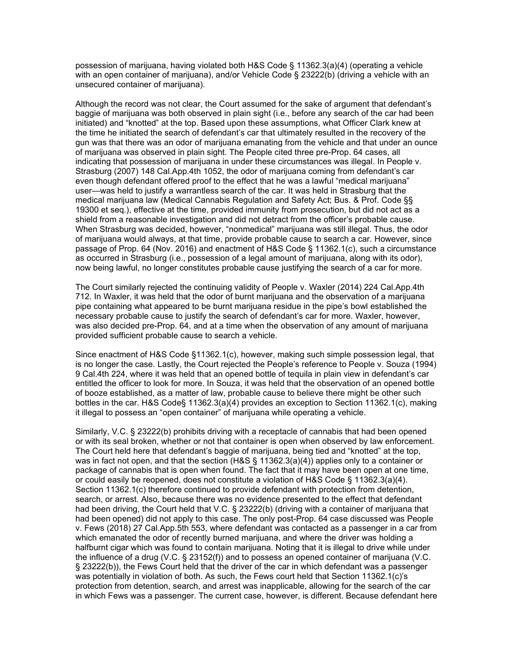possession of marijuana, having violated both H&S Code § 11362.3(a)(4) (operating a vehicle with an open container of marijuana), and/or Vehicle Code § 23222(b) (driving a vehicle with an unsecured container of marijuana).

Although the record was not clear, the Court assumed for the sake of argument that defendant's baggie of marijuana was both observed in plain sight (i.e., before any search of the car had been initiated) and "knotted" at the top. Based upon these assumptions, what Officer Clark knew at the time he initiated the search of defendant's car that ultimately resulted in the recovery of the gun was that there was an odor of marijuana emanating from the vehicle and that under an ounce of marijuana was observed in plain sight. The People cited three pre-Prop. 64 cases, all indicating that possession of marijuana in under these circumstances was illegal. In People v. Strasburg (2007) 148 Cal.App.4th 1052, the odor of marijuana coming from defendant's car even though defendant offered proof to the effect that he was a lawful "medical marijuana" user—was held to justify a warrantless search of the car. It was held in Strasburg that the medical marijuana law (Medical Cannabis Regulation and Safety Act; Bus. & Prof. Code §§ 19300 et seq.), effective at the time, provided immunity from prosecution, but did not act as a shield from a reasonable investigation and did not detract from the officer's probable cause. When Strasburg was decided, however, "nonmedical" marijuana was still illegal. Thus, the odor of marijuana would always, at that time, provide probable cause to search a car. However, since passage of Prop. 64 (Nov. 2016) and enactment of H&S Code § 11362.1(c), such a circumstance as occurred in Strasburg (i.e., possession of a legal amount of marijuana, along with its odor), now being lawful, no longer constitutes probable cause justifying the search of a car for more.

The Court similarly rejected the continuing validity of People v. Waxler (2014) 224 Cal.App.4th 712. In Waxler, it was held that the odor of burnt marijuana and the observation of a marijuana pipe containing what appeared to be burnt marijuana residue in the pipe's bowl established the necessary probable cause to justify the search of defendant's car for more. Waxler, however, was also decided pre-Prop. 64, and at a time when the observation of any amount of marijuana provided sufficient probable cause to search a vehicle.

Since enactment of H&S Code §11362.1(c), however, making such simple possession legal, that is no longer the case. Lastly, the Court rejected the People's reference to People v. Souza (1994) 9 Cal.4th 224, where it was held that an opened bottle of tequila in plain view in defendant's car entitled the officer to look for more. In Souza, it was held that the observation of an opened bottle of booze established, as a matter of law, probable cause to believe there might be other such bottles in the car. H&S Code§ 11362.3(a)(4) provides an exception to Section 11362.1(c), making it illegal to possess an "open container" of marijuana while operating a vehicle.

Similarly, V.C. § 23222(b) prohibits driving with a receptacle of cannabis that had been opened or with its seal broken, whether or not that container is open when observed by law enforcement. The Court held here that defendant's baggie of marijuana, being tied and "knotted" at the top, was in fact not open, and that the section (H&S § 11362.3(a)(4)) applies only to a container or package of cannabis that is open when found. The fact that it may have been open at one time, or could easily be reopened, does not constitute a violation of H&S Code § 11362.3(a)(4). Section 11362.1(c) therefore continued to provide defendant with protection from detention, search, or arrest. Also, because there was no evidence presented to the effect that defendant had been driving, the Court held that V.C. § 23222(b) (driving with a container of marijuana that had been opened) did not apply to this case. The only post-Prop. 64 case discussed was People v. Fews (2018) 27 Cal.App.5th 553, where defendant was contacted as a passenger in a car from which emanated the odor of recently burned marijuana, and where the driver was holding a halfburnt cigar which was found to contain marijuana. Noting that it is illegal to drive while under the influence of a drug (V.C. § 23152(f)) and to possess an opened container of marijuana (V.C. § 23222(b)), the Fews Court held that the driver of the car in which defendant was a passenger was potentially in violation of both. As such, the Fews court held that Section 11362.1(c)'s protection from detention, search, and arrest was inapplicable, allowing for the search of the car in which Fews was a passenger. The current case, however, is different. Because defendant here